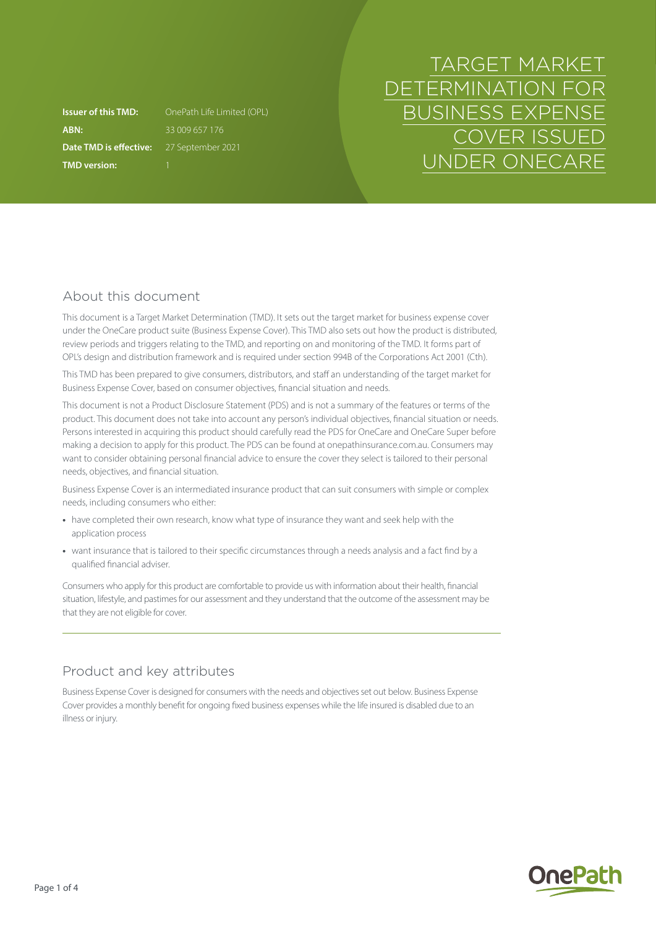**ABN:** 33 009 657 176 **Date TMD is effective:** 27 September 2021 **TMD version:** 1

**Issuer of this TMD:** OnePath Life Limited (OPL)

# TARGET MARKET DETERMINATION FOR BUSINESS EXPENSE COVER ISSUED UNDER ONECARE

# About this document

This document is a Target Market Determination (TMD). It sets out the target market for business expense cover under the OneCare product suite (Business Expense Cover). This TMD also sets out how the product is distributed, review periods and triggers relating to the TMD, and reporting on and monitoring of the TMD. It forms part of OPL's design and distribution framework and is required under section 994B of the Corporations Act 2001 (Cth).

This TMD has been prepared to give consumers, distributors, and staff an understanding of the target market for Business Expense Cover, based on consumer objectives, financial situation and needs.

This document is not a Product Disclosure Statement (PDS) and is not a summary of the features or terms of the product. This document does not take into account any person's individual objectives, financial situation or needs. Persons interested in acquiring this product should carefully read the PDS for OneCare and OneCare Super before making a decision to apply for this product. The PDS can be found at [onepathinsurance.com.au.](http://onepathinsurance.com.au) Consumers may want to consider obtaining personal financial advice to ensure the cover they select is tailored to their personal needs, objectives, and financial situation.

Business Expense Cover is an intermediated insurance product that can suit consumers with simple or complex needs, including consumers who either:

- **•** have completed their own research, know what type of insurance they want and seek help with the application process
- **•** want insurance that is tailored to their specific circumstances through a needs analysis and a fact find by a qualified financial adviser.

Consumers who apply for this product are comfortable to provide us with information about their health, financial situation, lifestyle, and pastimes for our assessment and they understand that the outcome of the assessment may be that they are not eligible for cover.

# Product and key attributes

Business Expense Cover is designed for consumers with the needs and objectives set out below. Business Expense Cover provides a monthly benefit for ongoing fixed business expenses while the life insured is disabled due to an illness or injury.

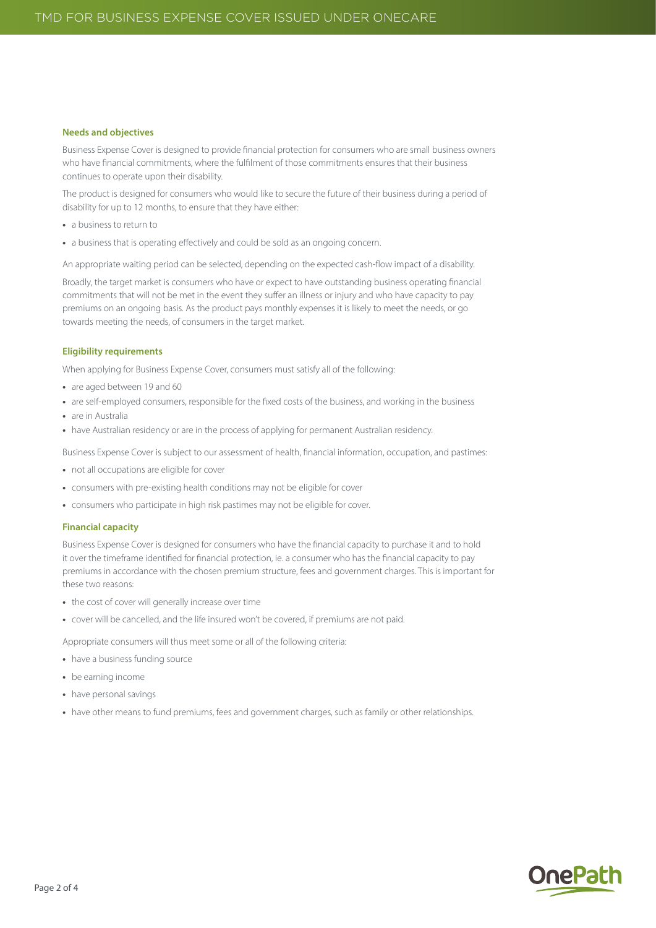#### **Needs and objectives**

Business Expense Cover is designed to provide financial protection for consumers who are small business owners who have financial commitments, where the fulfilment of those commitments ensures that their business continues to operate upon their disability.

The product is designed for consumers who would like to secure the future of their business during a period of disability for up to 12 months, to ensure that they have either:

- **•** a business to return to
- **•** a business that is operating effectively and could be sold as an ongoing concern.

An appropriate waiting period can be selected, depending on the expected cash-flow impact of a disability.

Broadly, the target market is consumers who have or expect to have outstanding business operating financial commitments that will not be met in the event they suffer an illness or injury and who have capacity to pay premiums on an ongoing basis. As the product pays monthly expenses it is likely to meet the needs, or go towards meeting the needs, of consumers in the target market.

#### **Eligibility requirements**

When applying for Business Expense Cover, consumers must satisfy all of the following:

- **•** are aged between 19 and 60
- **•** are self-employed consumers, responsible for the fixed costs of the business, and working in the business
- **•** are in Australia
- **•** have Australian residency or are in the process of applying for permanent Australian residency.

Business Expense Cover is subject to our assessment of health, financial information, occupation, and pastimes:

- **•** not all occupations are eligible for cover
- **•** consumers with pre-existing health conditions may not be eligible for cover
- **•** consumers who participate in high risk pastimes may not be eligible for cover.

#### **Financial capacity**

Business Expense Cover is designed for consumers who have the financial capacity to purchase it and to hold it over the timeframe identified for financial protection, ie. a consumer who has the financial capacity to pay premiums in accordance with the chosen premium structure, fees and government charges. This is important for these two reasons:

- **•** the cost of cover will generally increase over time
- **•** cover will be cancelled, and the life insured won't be covered, if premiums are not paid.

Appropriate consumers will thus meet some or all of the following criteria:

- **•** have a business funding source
- **•** be earning income
- **•** have personal savings
- **•** have other means to fund premiums, fees and government charges, such as family or other relationships.

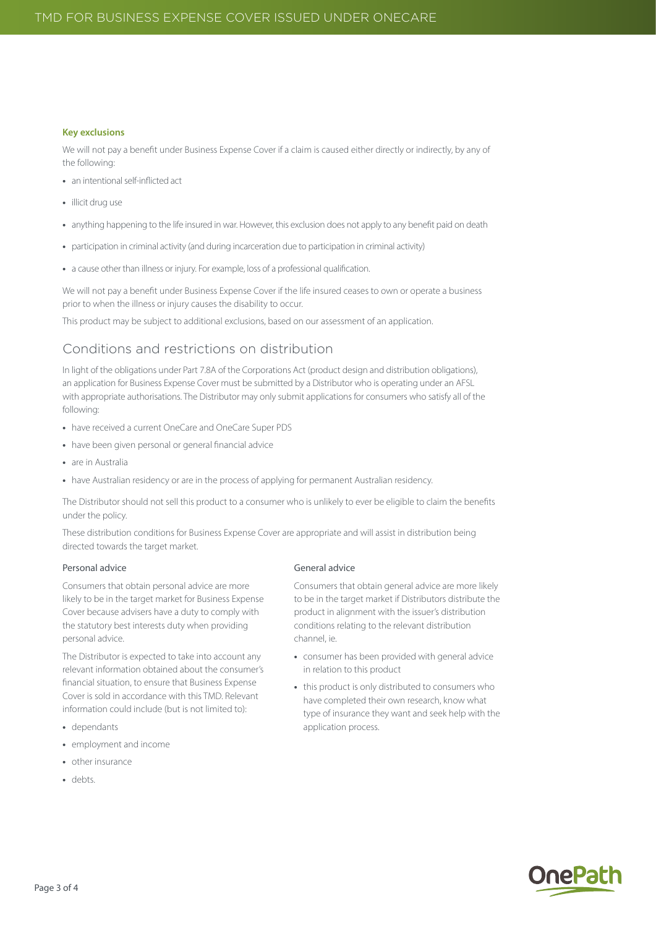#### **Key exclusions**

We will not pay a benefit under Business Expense Cover if a claim is caused either directly or indirectly, by any of the following:

- **•** an intentional self-inflicted act
- **•** illicit drug use
- **•** anything happening to the life insured in war. However, this exclusion does not apply to any benefit paid on death
- **•** participation in criminal activity (and during incarceration due to participation in criminal activity)
- **•** a cause other than illness or injury. For example, loss of a professional qualification.

We will not pay a benefit under Business Expense Cover if the life insured ceases to own or operate a business prior to when the illness or injury causes the disability to occur.

This product may be subject to additional exclusions, based on our assessment of an application.

# Conditions and restrictions on distribution

In light of the obligations under Part 7.8A of the Corporations Act (product design and distribution obligations), an application for Business Expense Cover must be submitted by a Distributor who is operating under an AFSL with appropriate authorisations. The Distributor may only submit applications for consumers who satisfy all of the following:

- **•** have received a current OneCare and OneCare Super PDS
- **•** have been given personal or general financial advice
- **•** are in Australia
- have Australian residency or are in the process of applying for permanent Australian residency.

The Distributor should not sell this product to a consumer who is unlikely to ever be eligible to claim the benefits under the policy.

These distribution conditions for Business Expense Cover are appropriate and will assist in distribution being directed towards the target market.

#### Personal advice

Consumers that obtain personal advice are more likely to be in the target market for Business Expense Cover because advisers have a duty to comply with the statutory best interests duty when providing personal advice.

The Distributor is expected to take into account any relevant information obtained about the consumer's financial situation, to ensure that Business Expense Cover is sold in accordance with this TMD. Relevant information could include (but is not limited to):

- **•** dependants
- **•** employment and income
- **•** other insurance
- **•** debts.

#### General advice

Consumers that obtain general advice are more likely to be in the target market if Distributors distribute the product in alignment with the issuer's distribution conditions relating to the relevant distribution channel, ie.

- **•** consumer has been provided with general advice in relation to this product
- **•** this product is only distributed to consumers who have completed their own research, know what type of insurance they want and seek help with the application process.